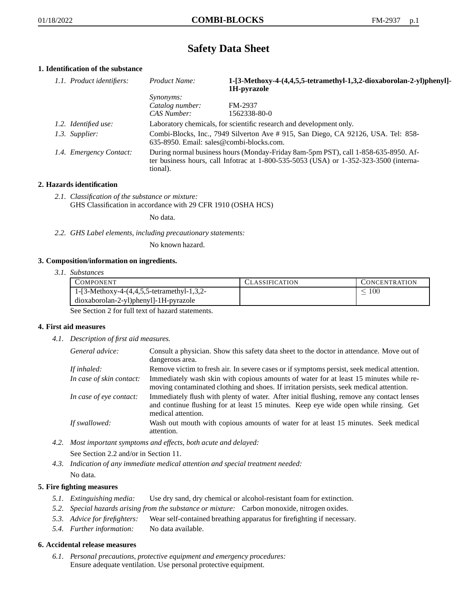# **Safety Data Sheet**

# **1. Identification of the substance**

| 1.1. Product identifiers: | Product Name:                                                                                                                                                                           | 1-[3-Methoxy-4-(4,4,5,5-tetramethyl-1,3,2-dioxaborolan-2-yl)phenyl]-<br>1H-pyrazole |  |
|---------------------------|-----------------------------------------------------------------------------------------------------------------------------------------------------------------------------------------|-------------------------------------------------------------------------------------|--|
|                           | <i>Synonyms:</i>                                                                                                                                                                        |                                                                                     |  |
|                           | Catalog number:                                                                                                                                                                         | FM-2937                                                                             |  |
|                           | CAS Number:                                                                                                                                                                             | 1562338-80-0                                                                        |  |
| 1.2. Identified use:      |                                                                                                                                                                                         | Laboratory chemicals, for scientific research and development only.                 |  |
| 1.3. Supplier:            | Combi-Blocks, Inc., 7949 Silverton Ave # 915, San Diego, CA 92126, USA. Tel: 858-<br>635-8950. Email: sales@combi-blocks.com.                                                           |                                                                                     |  |
| 1.4. Emergency Contact:   | During normal business hours (Monday-Friday 8am-5pm PST), call 1-858-635-8950. Af-<br>ter business hours, call Infotrac at 1-800-535-5053 (USA) or 1-352-323-3500 (interna-<br>tional). |                                                                                     |  |

## **2. Hazards identification**

*2.1. Classification of the substance or mixture:* GHS Classification in accordance with 29 CFR 1910 (OSHA HCS)

No data.

*2.2. GHS Label elements, including precautionary statements:*

No known hazard.

## **3. Composition/information on ingredients.**

*3.1. Substances*

| COMPONENT                                      | CLASSIFICATION | <b>CONCENTRATION</b> |
|------------------------------------------------|----------------|----------------------|
| 1-[3-Methoxy-4- $(4,4,5,5$ -tetramethyl-1,3,2- |                | 00،                  |
| dioxaborolan-2-yl)phenyl]-1H-pyrazole          |                |                      |

See Section 2 for full text of hazard statements.

## **4. First aid measures**

*4.1. Description of first aid measures.*

| General advice:          | Consult a physician. Show this safety data sheet to the doctor in attendance. Move out of<br>dangerous area.                                                                                            |
|--------------------------|---------------------------------------------------------------------------------------------------------------------------------------------------------------------------------------------------------|
| If inhaled:              | Remove victim to fresh air. In severe cases or if symptoms persist, seek medical attention.                                                                                                             |
| In case of skin contact: | Immediately wash skin with copious amounts of water for at least 15 minutes while re-<br>moving contaminated clothing and shoes. If irritation persists, seek medical attention.                        |
| In case of eye contact:  | Immediately flush with plenty of water. After initial flushing, remove any contact lenses<br>and continue flushing for at least 15 minutes. Keep eye wide open while rinsing. Get<br>medical attention. |
| If swallowed:            | Wash out mouth with copious amounts of water for at least 15 minutes. Seek medical<br>attention.                                                                                                        |

- *4.2. Most important symptoms and effects, both acute and delayed:* See Section 2.2 and/or in Section 11.
- *4.3. Indication of any immediate medical attention and special treatment needed:* No data.

## **5. Fire fighting measures**

- *5.1. Extinguishing media:* Use dry sand, dry chemical or alcohol-resistant foam for extinction.
- *5.2. Special hazards arising from the substance or mixture:* Carbon monoxide, nitrogen oxides.
- *5.3. Advice for firefighters:* Wear self-contained breathing apparatus for firefighting if necessary.
- *5.4. Further information:* No data available.

## **6. Accidental release measures**

*6.1. Personal precautions, protective equipment and emergency procedures:* Ensure adequate ventilation. Use personal protective equipment.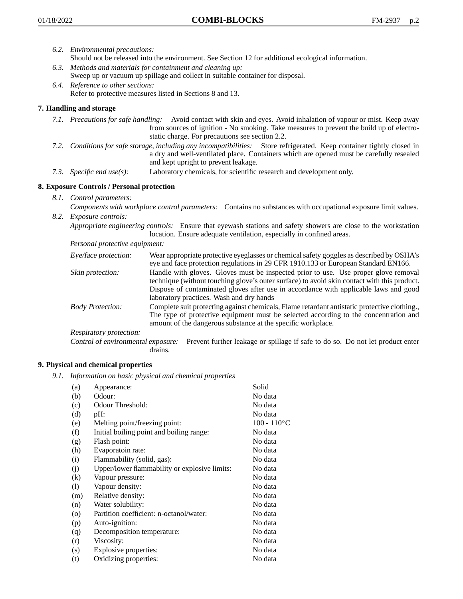- *6.2. Environmental precautions:*
	- Should not be released into the environment. See Section 12 for additional ecological information.
- *6.3. Methods and materials for containment and cleaning up:* Sweep up or vacuum up spillage and collect in suitable container for disposal.
- *6.4. Reference to other sections:* Refer to protective measures listed in Sections 8 and 13.

# **7. Handling and storage**

- *7.1. Precautions for safe handling:* Avoid contact with skin and eyes. Avoid inhalation of vapour or mist. Keep away from sources of ignition - No smoking. Take measures to prevent the build up of electrostatic charge. For precautions see section 2.2.
- *7.2. Conditions for safe storage, including any incompatibilities:* Store refrigerated. Keep container tightly closed in a dry and well-ventilated place. Containers which are opened must be carefully resealed and kept upright to prevent leakage.
- *7.3. Specific end use(s):* Laboratory chemicals, for scientific research and development only.

# **8. Exposure Controls / Personal protection**

*8.1. Control parameters:*

*Components with workplace control parameters:* Contains no substances with occupational exposure limit values. *8.2. Exposure controls:*

*Appropriate engineering controls:* Ensure that eyewash stations and safety showers are close to the workstation location. Ensure adequate ventilation, especially in confined areas.

*Personal protective equipment:*

| Eye/face protection:    | Wear appropriate protective eyeglasses or chemical safety goggles as described by OSHA's<br>eye and face protection regulations in 29 CFR 1910.133 or European Standard EN166.                                                                                                                                         |
|-------------------------|------------------------------------------------------------------------------------------------------------------------------------------------------------------------------------------------------------------------------------------------------------------------------------------------------------------------|
| Skin protection:        | Handle with gloves. Gloves must be inspected prior to use. Use proper glove removal<br>technique (without touching glove's outer surface) to avoid skin contact with this product.<br>Dispose of contaminated gloves after use in accordance with applicable laws and good<br>laboratory practices. Wash and dry hands |
| <b>Body Protection:</b> | Complete suit protecting against chemicals, Flame retardant antistatic protective clothing.,<br>The type of protective equipment must be selected according to the concentration and<br>amount of the dangerous substance at the specific workplace.                                                                   |
| Respiratory protection: |                                                                                                                                                                                                                                                                                                                        |

Control of environmental exposure: Prevent further leakage or spillage if safe to do so. Do not let product enter drains.

# **9. Physical and chemical properties**

*9.1. Information on basic physical and chemical properties*

| (a)               | Appearance:                                   | Solid          |
|-------------------|-----------------------------------------------|----------------|
| (b)               | Odour:                                        | No data        |
| (c)               | Odour Threshold:                              | No data        |
| (d)               | $pH$ :                                        | No data        |
| (e)               | Melting point/freezing point:                 | $100 - 110$ °C |
| (f)               | Initial boiling point and boiling range:      | No data        |
| (g)               | Flash point:                                  | No data        |
| (h)               | Evaporatoin rate:                             | No data        |
| (i)               | Flammability (solid, gas):                    | No data        |
| (j)               | Upper/lower flammability or explosive limits: | No data        |
| $\left( k\right)$ | Vapour pressure:                              | No data        |
| (1)               | Vapour density:                               | No data        |
| (m)               | Relative density:                             | No data        |
| (n)               | Water solubility:                             | No data        |
| $\circ$           | Partition coefficient: n-octanol/water:       | No data        |
| (p)               | Auto-ignition:                                | No data        |
| (q)               | Decomposition temperature:                    | No data        |
| (r)               | Viscosity:                                    | No data        |
| (s)               | Explosive properties:                         | No data        |
| (t)               | Oxidizing properties:                         | No data        |